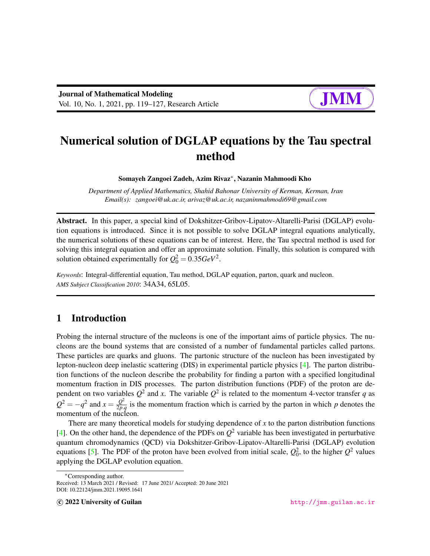# Numerical solution of DGLAP equations by the Tau spectral method

Somayeh Zangoei Zadeh, Azim Rivaz<sup>∗</sup> , Nazanin Mahmoodi Kho

*Department of Applied Mathematics, Shahid Bahonar University of Kerman, Kerman, Iran Email(s): zangoei@uk.ac.ir, arivaz@uk.ac.ir, nazaninmahmodi69@gmail.com*

Abstract. In this paper, a special kind of Dokshitzer-Gribov-Lipatov-Altarelli-Parisi (DGLAP) evolution equations is introduced. Since it is not possible to solve DGLAP integral equations analytically, the numerical solutions of these equations can be of interest. Here, the Tau spectral method is used for solving this integral equation and offer an approximate solution. Finally, this solution is compared with solution obtained experimentally for  $Q_0^2 = 0.35 GeV^2$ .

*Keywords*: Integral-differential equation, Tau method, DGLAP equation, parton, quark and nucleon. *AMS Subject Classification 2010*: 34A34, 65L05.

# 1 Introduction

Probing the internal structure of the nucleons is one of the important aims of particle physics. The nucleons are the bound systems that are consisted of a number of fundamental particles called partons. These particles are quarks and gluons. The partonic structure of the nucleon has been investigated by lepton-nucleon deep inelastic scattering (DIS) in experimental particle physics [\[4\]](#page-8-0). The parton distribution functions of the nucleon describe the probability for finding a parton with a specified longitudinal momentum fraction in DIS processes. The parton distribution functions (PDF) of the proton are dependent on two variables  $Q^2$  and x. The variable  $Q^2$  is related to the momentum 4-vector transfer q as  $Q^2 = -q^2$  and  $x = \frac{Q^2}{2R}$  $\frac{Q^2}{2p,q}$  is the momentum fraction which is carried by the parton in which *p* denotes the momentum of the nucleon.

There are many theoretical models for studying dependence of *x* to the parton distribution functions [\[4\]](#page-8-0). On the other hand, the dependence of the PDFs on  $Q^2$  variable has been investigated in perturbative quantum chromodynamics (QCD) via Dokshitzer-Gribov-Lipatov-Altarelli-Parisi (DGLAP) evolution equations [\[5\]](#page-8-1). The PDF of the proton have been evolved from initial scale,  $Q_0^2$ , to the higher  $Q^2$  values applying the DGLAP evolution equation.

<sup>∗</sup>Corresponding author.

Received: 13 March 2021 / Revised: 17 June 2021/ Accepted: 20 June 2021 DOI: 10.22124/jmm.2021.19095.1641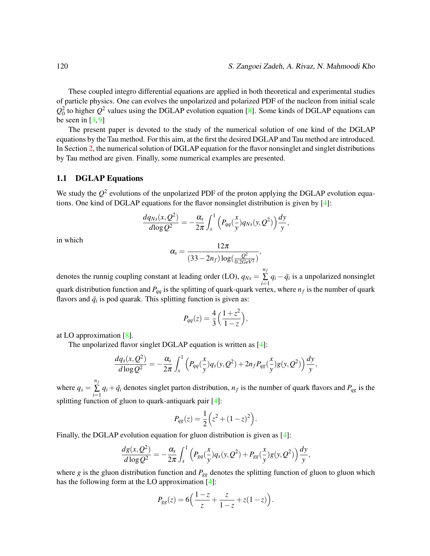These coupled integro differential equations are applied in both theoretical and experimental studies of particle physics. One can evolves the unpolarized and polarized PDF of the nucleon from initial scale  $Q_0^2$  to higher  $Q^2$  values using the DGLAP evolution equation [\[8\]](#page-8-2). Some kinds of DGLAP equations can be seen in  $[3, 9]$  $[3, 9]$  $[3, 9]$ 

The present paper is devoted to the study of the numerical solution of one kind of the DGLAP equations by the Tau method. For this aim, at the first the desired DGLAP and Tau method are introduced. In Section [2,](#page-2-0) the numerical solution of DGLAP equation for the flavor nonsinglet and singlet distributions by Tau method are given. Finally, some numerical examples are presented.

#### 1.1 DGLAP Equations

We study the  $Q^2$  evolutions of the unpolarized PDF of the proton applying the DGLAP evolution equations. One kind of DGLAP equations for the flavor nonsinglet distribution is given by [\[4\]](#page-8-0):

$$
\frac{dq_{Ns}(x,Q^2)}{d\log Q^2}=-\frac{\alpha_s}{2\pi}\int_x^1\Big(P_{qq}(\frac{x}{y})q_{Ns}(y,Q^2)\Big)\frac{dy}{y},
$$

in which

$$
\alpha_s = \frac{12\pi}{(33 - 2n_f)\log(\frac{Q^2}{0.2 \text{GeV}^2})},
$$

denotes the runnig coupling constant at leading order (LO), *qNs* = *nf*  $\sum_{i=1}^{n} q_i - \bar{q}_i$  is a unpolarized nonsinglet quark distribution function and *Pqq* is the splitting of quark-quark vertex, where *n<sup>f</sup>* is the number of quark flavors and  $\bar{q}_i$  is pod quarak. This splitting function is given as:

$$
P_{qq}(z) = \frac{4}{3} \left( \frac{1+z^2}{1-z} \right),\,
$$

at LO approximation [\[8\]](#page-8-2).

The unpolarized flavor singlet DGLAP equation is written as [\[4\]](#page-8-0):

$$
\frac{dq_s(x,Q^2)}{d\log Q^2} = -\frac{\alpha_s}{2\pi} \int_x^1 \left( P_{qq}(\frac{x}{y})q_s(y,Q^2) + 2n_f P_{qg}(\frac{x}{y})g(y,Q^2) \right) \frac{dy}{y},
$$

where  $q_s =$ *nf*  $\sum_{i=1}^{n} q_i + \bar{q}_i$  denotes singlet parton distribution,  $n_f$  is the number of quark flavors and  $P_{qg}$  is the splitting function of gluon to quark-antiquark pair [\[4\]](#page-8-0):

$$
P_{qg}(z) = \frac{1}{2} \left( z^2 + (1 - z)^2 \right).
$$

Finally, the DGLAP evolution equation for gluon distribution is given as [\[4\]](#page-8-0):

$$
\frac{dg(x, Q^2)}{d \log Q^2} = -\frac{\alpha_s}{2\pi} \int_x^1 \left( P_{gq}(\frac{x}{y}) q_s(y, Q^2) + P_{gg}(\frac{x}{y}) g(y, Q^2) \right) \frac{dy}{y},
$$

where *g* is the gluon distribution function and *Pgg* denotes the splitting function of gluon to gluon which has the following form at the LO approximation [\[4\]](#page-8-0):

$$
P_{gg}(z) = 6\Big(\frac{1-z}{z} + \frac{z}{1-z} + z(1-z)\Big).
$$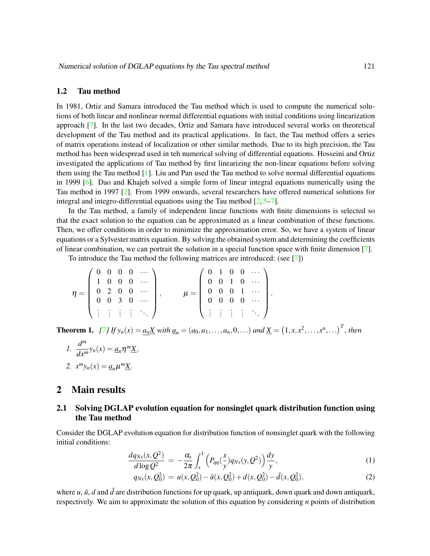#### 1.2 Tau method

In 1981, Ortiz and Samara introduced the Tau method which is used to compute the numerical solutions of both linear and nonlinear normal differential equations with initial conditions using linearization approach [\[7\]](#page-8-4). In the last two decades, Ortiz and Samara have introduced several works on theoretical development of the Tau method and its practical applications. In fact, the Tau method offers a series of matrix operations instead of localization or other similar methods. Due to its high precision, the Tau method has been widespread used in teh numerical solving of differential equations. Hosseini and Ortiz investigated the applications of Tau method by first linearizing the non-linear equations before solving them using the Tau method [\[1\]](#page-7-1). Liu and Pan used the Tau method to solve normal differential equations in 1999 [\[6\]](#page-8-5). Dao and Khajeh solved a simple form of linear integral equations numerically using the Tau method in 1997 [\[2\]](#page-7-2). From 1999 onwards, several researchers have offered numerical solutions for integral and integro-differential equations using the Tau method  $[2, 5-7]$  $[2, 5-7]$  $[2, 5-7]$ .

In the Tau method, a family of independent linear functions with finite dimensions is selected so that the exact solution to the equation can be approximated as a linear combination of these functions. Then, we offer conditions in order to minimize the approximation error. So, we have a system of linear equations or a Sylvester matrix equation. By solving the obtained system and determining the coefficients of linear combination, we can portrait the solution in a special function space with finite dimension [\[7\]](#page-8-4).

To introduce the Tau method the following matrices are introduced: (see [\[7\]](#page-8-4))

$$
\eta = \left(\begin{array}{cccc} 0 & 0 & 0 & 0 & \cdots \\ 1 & 0 & 0 & 0 & \cdots \\ 0 & 2 & 0 & 0 & \cdots \\ 0 & 0 & 3 & 0 & \cdots \\ \vdots & \vdots & \vdots & \vdots & \ddots \end{array}\right), \qquad \mu = \left(\begin{array}{cccc} 0 & 1 & 0 & 0 & \cdots \\ 0 & 0 & 1 & 0 & \cdots \\ 0 & 0 & 0 & 1 & \cdots \\ 0 & 0 & 0 & 0 & \cdots \\ \vdots & \vdots & \vdots & \vdots & \ddots \end{array}\right).
$$

<span id="page-2-2"></span>**Theorem 1.** [\[7\]](#page-8-4) If  $y_n(x) = a_n \underline{X}$  with  $a_n = (a_0, a_1, ..., a_n, 0, ...)$  and  $\underline{X} = (1, x, x^2, ..., x^n, ...)$ <sup>T</sup>, then

1. 
$$
\frac{d^m}{dx^m} y_n(x) = \underline{a}_n \eta^m \underline{X},
$$
  
2. 
$$
x^m y_n(x) = \underline{a}_n \mu^m \underline{X}.
$$

## <span id="page-2-0"></span>2 Main results

# 2.1 Solving DGLAP evolution equation for nonsinglet quark distribution function using the Tau method

Consider the DGLAP evolution equation for distribution function of nonsinglet quark with the following initial conditions:

<span id="page-2-1"></span>
$$
\frac{dq_{Ns}(x,Q^2)}{d\log Q^2} = -\frac{\alpha_s}{2\pi} \int_x^1 \left( P_{qq}(\frac{x}{y}) q_{Ns}(y,Q^2) \right) \frac{dy}{y},\tag{1}
$$

$$
q_{Ns}(x, Q_0^2) = u(x, Q_0^2) - \bar{u}(x, Q_0^2) + d(x, Q_0^2) - \bar{d}(x, Q_0^2),
$$
\n(2)

where  $u$ ,  $\bar{u}$ ,  $d$  and  $\bar{d}$  are distribution functions for up quark, up antiquark, down quark and down antiquark, respectively. We aim to approximate the solution of this equation by considering *n* points of distribution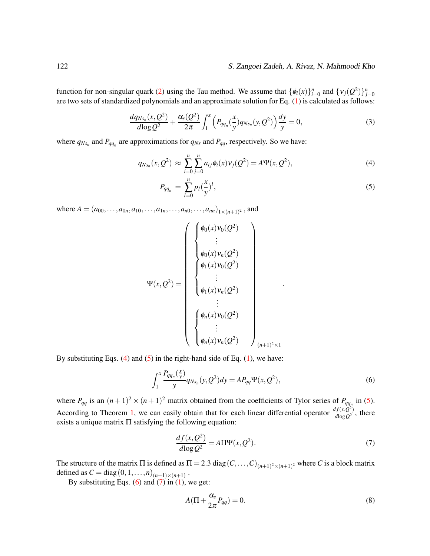#### 122 S. Zangoei Zadeh, A. Rivaz, N. Mahmoodi Kho

function for non-singular quark [\(2\)](#page-2-1) using the Tau method. We assume that  $\{\phi_i(x)\}_{i=0}^n$  and  $\{v_j(Q^2)\}_{j=0}^n$ are two sets of standardized polynomials and an approximate solution for Eq. [\(1\)](#page-2-1) is calculated as follows:

$$
\frac{dq_{Ns_n}(x,Q^2)}{d \log Q^2} + \frac{\alpha_s(Q^2)}{2\pi} \int_1^x \left( P_{qq_n}(\frac{x}{y}) q_{Ns_n}(y,Q^2) \right) \frac{dy}{y} = 0, \tag{3}
$$

where  $q_{Ns_n}$  and  $P_{qq_n}$  are approximations for  $q_{Ns}$  and  $P_{qq}$ , respectively. So we have:

<span id="page-3-0"></span>
$$
q_{Ns_n}(x,Q^2) \approx \sum_{i=0}^n \sum_{j=0}^n a_{ij} \phi_i(x) \nu_j(Q^2) = A \Psi(x,Q^2),
$$
\n(4)

$$
P_{qq_n} = \sum_{l=0}^{n} p_l \left(\frac{x}{y}\right)^l, \tag{5}
$$

.

where  $A = (a_{00}, \ldots, a_{0n}, a_{10}, \ldots, a_{1n}, \ldots, a_{n0}, \ldots, a_{nn})_{1 \times (n+1)^2}$ , and

$$
\Psi(x,Q^2) = \begin{pmatrix}\n\begin{pmatrix}\n\phi_0(x)v_0(Q^2) \\
\vdots \\
\phi_0(x)v_n(Q^2) \\
\vdots \\
\phi_1(x)v_0(Q^2) \\
\vdots \\
\phi_1(x)v_n(Q^2) \\
\vdots \\
\phi_n(x)v_0(Q^2)\n\end{pmatrix}_{(n+1)^2 \times 1}
$$

By substituting Eqs. [\(4\)](#page-3-0) and [\(5\)](#page-3-0) in the right-hand side of Eq. [\(1\)](#page-2-1), we have:

<span id="page-3-1"></span>
$$
\int_{1}^{x} \frac{P_{qq_n}(\frac{x}{y})}{y} q_{Ns_n}(y, Q^2) dy = A P_{qq} \Psi(x, Q^2),
$$
\n(6)

where  $P_{qq}$  is an  $(n+1)^2 \times (n+1)^2$  matrix obtained from the coefficients of Tylor series of  $P_{qq}$  in [\(5\)](#page-3-0). According to Theorem [1,](#page-2-2) we can easily obtain that for each linear differential operator  $\frac{df(x,Q^2)}{d\log Q^2}$  $\frac{dU(x,Q^{-})}{dlog Q^{2}}$ , there exists a unique matrix Π satisfying the following equation:

<span id="page-3-2"></span>
$$
\frac{df(x, Q^2)}{d\log Q^2} = A\Pi\Psi(x, Q^2). \tag{7}
$$

The structure of the matrix  $\Pi$  is defined as  $\Pi = 2.3$  diag  $(C, \ldots, C)_{(n+1)^2 \times (n+1)^2}$  where *C* is a block matrix defined as  $C = diag(0, 1, ..., n)_{(n+1) \times (n+1)}$ .

By substituting Eqs.  $(6)$  and  $(7)$  in  $(1)$ , we get:

<span id="page-3-3"></span>
$$
A(\Pi + \frac{\alpha_s}{2\pi}P_{qq}) = 0.
$$
\n(8)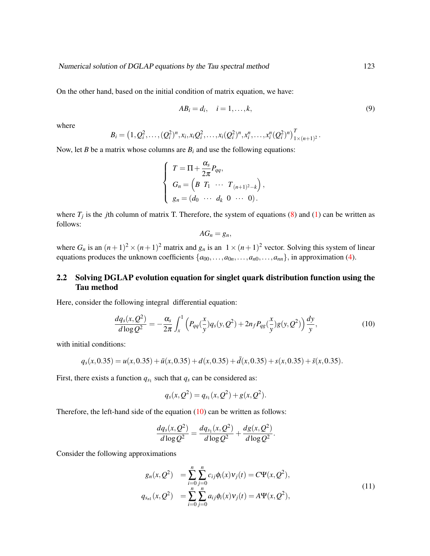On the other hand, based on the initial condition of matrix equation, we have:

$$
AB_i = d_i, \quad i = 1, \dots, k,
$$
\n<sup>(9)</sup>

.

where

$$
B_i = (1, Q_i^2, \ldots, (Q_i^2)^n, x_i, x_i Q_i^2, \ldots, x_i (Q_i^2)^n, x_i^n, \ldots, x_i^n (Q_i^2)^n)_{1 \times (n+1)^2}^T
$$

Now, let *B* be a matrix whose columns are  $B_i$  and use the following equations:

$$
\begin{cases}\nT = \Pi + \frac{\alpha_s}{2\pi} P_{qq}, \\
G_n = \left(B \ T_1 \ \cdots \ T_{(n+1)^2 - k}\right), \\
g_n = (d_0 \ \cdots \ d_k \ 0 \ \cdots \ 0).\n\end{cases}
$$

where  $T_j$  is the *j*th column of matrix T. Therefore, the system of equations [\(8\)](#page-3-3) and [\(1\)](#page-2-1) can be written as follows:

$$
AG_n=g_n,
$$

where  $G_n$  is an  $(n+1)^2 \times (n+1)^2$  matrix and  $g_n$  is an  $1 \times (n+1)^2$  vector. Solving this system of linear equations produces the unknown coefficients  $\{a_{00}, \ldots, a_{0n}, \ldots, a_{n0}, \ldots, a_{nn}\}$ , in approximation [\(4\)](#page-3-0).

# 2.2 Solving DGLAP evolution equation for singlet quark distribution function using the Tau method

Here, consider the following integral differential equation:

<span id="page-4-0"></span>
$$
\frac{dq_s(x, Q^2)}{d \log Q^2} = -\frac{\alpha_s}{2\pi} \int_x^1 \left( P_{qq}(\frac{x}{y}) q_s(y, Q^2) + 2n_f P_{qg}(\frac{x}{y}) g(y, Q^2) \right) \frac{dy}{y},\tag{10}
$$

with initial conditions:

$$
q_s(x, 0.35) = u(x, 0.35) + \bar{u}(x, 0.35) + d(x, 0.35) + \bar{d}(x, 0.35) + s(x, 0.35) + \bar{s}(x, 0.35).
$$

First, there exists a function  $q_{s_1}$  such that  $q_s$  can be considered as:

$$
q_s(x, Q^2) = q_{s_1}(x, Q^2) + g(x, Q^2).
$$

Therefore, the left-hand side of the equation [\(10\)](#page-4-0) can be written as follows:

$$
\frac{dq_s(x, Q^2)}{d \log Q^2} = \frac{dq_{s_1}(x, Q^2)}{d \log Q^2} + \frac{dg(x, Q^2)}{d \log Q^2}.
$$

Consider the following approximations

<span id="page-4-1"></span>
$$
g_n(x, Q^2) = \sum_{i=0}^n \sum_{j=0}^n c_{ij} \phi_i(x) v_j(t) = C \Psi(x, Q^2),
$$
  
\n
$$
q_{s_{n1}}(x, Q^2) = \sum_{i=0}^n \sum_{j=0}^n a_{ij} \phi_i(x) v_j(t) = A \Psi(x, Q^2),
$$
\n(11)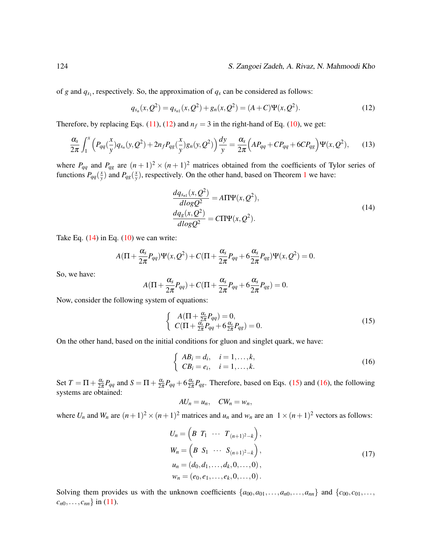#### 124 S. Zangoei Zadeh, A. Rivaz, N. Mahmoodi Kho

of *g* and  $q_{s_1}$ , respectively. So, the approximation of  $q_s$  can be considered as follows:

<span id="page-5-0"></span>
$$
q_{s_n}(x,Q^2) = q_{s_{n1}}(x,Q^2) + g_n(x,Q^2) = (A+C)\Psi(x,Q^2).
$$
 (12)

Therefore, by replacing Eqs. [\(11\)](#page-4-1), [\(12\)](#page-5-0) and  $n_f = 3$  in the right-hand of Eq. [\(10\)](#page-4-0), we get:

$$
\frac{\alpha_s}{2\pi} \int_1^x \left( P_{qq}(\frac{x}{y}) q_{s_n}(y, Q^2) + 2n_f P_{qg}(\frac{x}{y}) g_n(y, Q^2) \right) \frac{dy}{y} = \frac{\alpha_s}{2\pi} \left( A P_{qq} + C P_{qq} + 6 C P_{qg} \right) \Psi(x, Q^2), \tag{13}
$$

where  $P_{qq}$  and  $P_{qg}$  are  $(n+1)^2 \times (n+1)^2$  matrices obtained from the coefficients of Tylor series of functions  $P_{qq}(\frac{x}{y})$  $\frac{x}{y}$ ) and  $P_{qg}(\frac{x}{y})$  $\frac{x}{y}$ ), respectively. On the other hand, based on Theorem [1](#page-2-2) we have:

<span id="page-5-1"></span>
$$
\frac{dq_{s_{n1}}(x, Q^2)}{dlog Q^2} = A\Pi\Psi(x, Q^2),
$$
\n
$$
\frac{dq_g(x, Q^2)}{dlog Q^2} = C\Pi\Psi(x, Q^2).
$$
\n(14)

Take Eq.  $(14)$  in Eq.  $(10)$  we can write:

$$
A(\Pi+\frac{\alpha_s}{2\pi}P_{qq})\Psi(x,Q^2)+C(\Pi+\frac{\alpha_s}{2\pi}P_{qq}+6\frac{\alpha_s}{2\pi}P_{qg})\Psi(x,Q^2)=0.
$$

So, we have:

$$
A(\Pi+\frac{\alpha_s}{2\pi}P_{qq})+C(\Pi+\frac{\alpha_s}{2\pi}P_{qq}+6\frac{\alpha_s}{2\pi}P_{qg})=0.
$$

Now, consider the following system of equations:

<span id="page-5-2"></span>
$$
\begin{cases}\nA(\Pi + \frac{\alpha_s}{2\pi} P_{qq}) = 0, \\
C(\Pi + \frac{\alpha_s}{2\pi} P_{qq} + 6\frac{\alpha_s}{2\pi} P_{gg}) = 0.\n\end{cases}
$$
\n(15)

On the other hand, based on the initial conditions for gluon and singlet quark, we have:

<span id="page-5-3"></span>
$$
\begin{cases}\nAB_i = d_i, & i = 1, \dots, k, \\
CB_i = e_i, & i = 1, \dots, k.\n\end{cases}
$$
\n(16)

Set  $T = \Pi + \frac{\alpha_s}{2\pi} P_{qq}$  and  $S = \Pi + \frac{\alpha_s}{2\pi} P_{qq} + 6\frac{\alpha_s}{2\pi} P_{qg}$ . Therefore, based on Eqs. [\(15\)](#page-5-2) and [\(16\)](#page-5-3), the following systems are obtained:

$$
AU_n=u_n,\quad CW_n=w_n,
$$

where  $U_n$  and  $W_n$  are  $(n+1)^2 \times (n+1)^2$  matrices and  $u_n$  and  $w_n$  are an  $1 \times (n+1)^2$  vectors as follows:

$$
U_n = \left(B \ T_1 \ \cdots \ T_{(n+1)^2 - k}\right),
$$
  
\n
$$
W_n = \left(B \ S_1 \ \cdots \ S_{(n+1)^2 - k}\right),
$$
  
\n
$$
u_n = (d_0, d_1, \ldots, d_k, 0, \ldots, 0),
$$
  
\n
$$
w_n = (e_0, e_1, \ldots, e_k, 0, \ldots, 0).
$$
\n(17)

Solving them provides us with the unknown coefficients  $\{a_{00}, a_{01}, \ldots, a_{n0}, \ldots, a_{nn}\}$  and  $\{c_{00}, c_{01}, \ldots, c_{nn}\}$  $c_{n0}, \ldots, c_{nn}$  in [\(11\)](#page-4-1).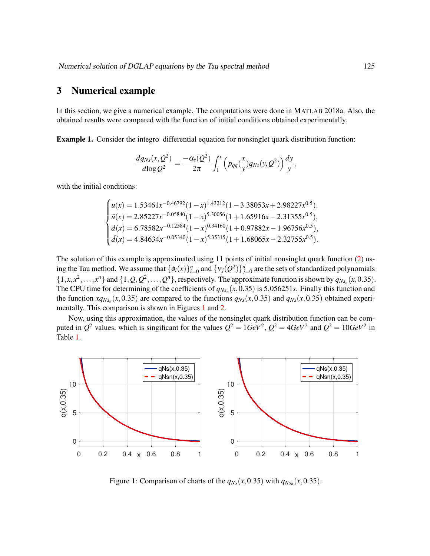# 3 Numerical example

In this section, we give a numerical example. The computations were done in MATLAB 2018a. Also, the obtained results were compared with the function of initial conditions obtained experimentally.

<span id="page-6-1"></span>Example 1. Consider the integro differential equation for nonsinglet quark distribution function:

$$
\frac{dq_{Ns}(x,Q^2)}{d\log Q^2}=\frac{-\alpha_s(Q^2)}{2\pi}\int_1^x\Big(p_{qq}(\frac{x}{y})q_{Ns}(y,Q^2)\Big)\frac{dy}{y},
$$

with the initial conditions:

$$
\begin{cases}\nu(x) = 1.53461x^{-0.46792}(1-x)^{1.43212}(1-3.38053x+2.98227x^{0.5}),\n\bar{u}(x) = 2.85227x^{-0.05840}(1-x)^{5.30056}(1+1.65916x-2.31355x^{0.5}),\nd(x) = 6.78582x^{-0.12584}(1-x)^{0.34160}(1+0.97882x-1.96756x^{0.5}),\n\bar{d}(x) = 4.84634x^{-0.05340}(1-x)^{5.35315}(1+1.68065x-2.32755x^{0.5}).\n\end{cases}
$$

The solution of this example is approximated using 11 points of initial nonsinglet quark function [\(2\)](#page-2-1) using the Tau method. We assume that  $\{\phi_i(x)\}_{i=0}^n$  and  $\{v_j(Q^2)\}_{j=0}^n$  are the sets of standardized polynomials  $\{1, x, x^2, \ldots, x^n\}$  and  $\{1, Q, Q^2, \ldots, Q^n\}$ , respectively. The approximate function is shown by  $q_{Ns_n}(x, 0.35)$ . The CPU time for determining of the coefficients of  $q_{Ns_n}(x,0.35)$  is 5.056251*s*. Finally this function and the function  $xq_{Ns_n}(x,0.35)$  are compared to the functions  $q_{Ns}(x,0.35)$  and  $q_{Ns}(x,0.35)$  obtained experi-mentally. This comparison is shown in Figures [1](#page-6-0) and [2.](#page-7-3)

Now, using this approximation, the values of the nonsinglet quark distribution function can be computed in  $Q^2$  values, which is singificant for the values  $Q^2 = 1 GeV^2$ ,  $Q^2 = 4 GeV^2$  and  $Q^2 = 10 GeV^2$  in Table [1.](#page-7-4)



<span id="page-6-0"></span>Figure 1: Comparison of charts of the  $q_{Ns}(x, 0.35)$  with  $q_{Ns_n}(x, 0.35)$ .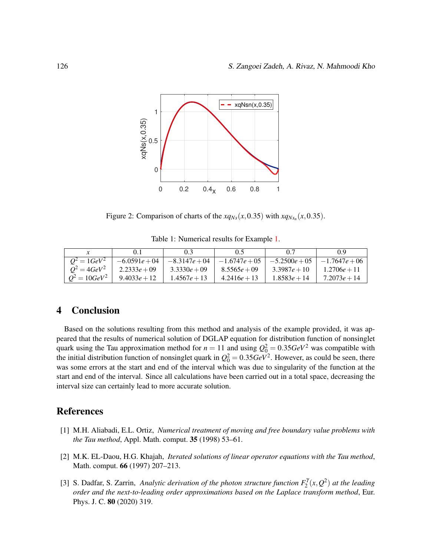

<span id="page-7-3"></span>Figure 2: Comparison of charts of the  $xq_{Ns}(x, 0.35)$  with  $xq_{Ns_n}(x, 0.35)$ .

<span id="page-7-4"></span>

|                             | 0.1             | 0.3             | 0.5             | 0.7             | 0 Q             |
|-----------------------------|-----------------|-----------------|-----------------|-----------------|-----------------|
| $Q^2 = 1 GeV^2$             | $-6.0591e + 04$ | $-8.3147e + 04$ | $-1.6747e + 05$ | $-5.2500e + 05$ | $-1.7647e + 06$ |
| $Q^2 = 4 \frac{G e V^2}{r}$ | $2.2333e + 09$  | $3.3330e + 09$  | $8.5565e + 09$  | $3.3987e + 10$  | $1.2706e + 11$  |
| $Q^2 = 10 GeV^2$            | $9.4033e + 12$  | $1.4567e + 13$  | $4.2416e + 13$  | $1.8583e + 14$  | $7.2073e + 14$  |

# 4 Conclusion

Based on the solutions resulting from this method and analysis of the example provided, it was appeared that the results of numerical solution of DGLAP equation for distribution function of nonsinglet quark using the Tau approximation method for  $n = 11$  and using  $Q_0^2 = 0.35 GeV^2$  was compatible with the initial distribution function of nonsinglet quark in  $Q_0^2 = 0.35 GeV^2$ . However, as could be seen, there was some errors at the start and end of the interval which was due to singularity of the function at the start and end of the interval. Since all calculations have been carried out in a total space, decreasing the interval size can certainly lead to more accurate solution.

## References

- <span id="page-7-1"></span>[1] M.H. Aliabadi, E.L. Ortiz, *Numerical treatment of moving and free boundary value problems with the Tau method*, Appl. Math. comput. 35 (1998) 53–61.
- <span id="page-7-2"></span>[2] M.K. EL-Daou, H.G. Khajah, *Iterated solutions of linear operator equations with the Tau method*, Math. comput. 66 (1997) 207–213.
- <span id="page-7-0"></span>[3] S. Dadfar, S. Zarrin, *Analytic derivation of the photon structure function*  $F_2^{\gamma}(x, Q^2)$  at the leading *order and the next-to-leading order approximations based on the Laplace transform method*, Eur. Phys. J. C. 80 (2020) 319.